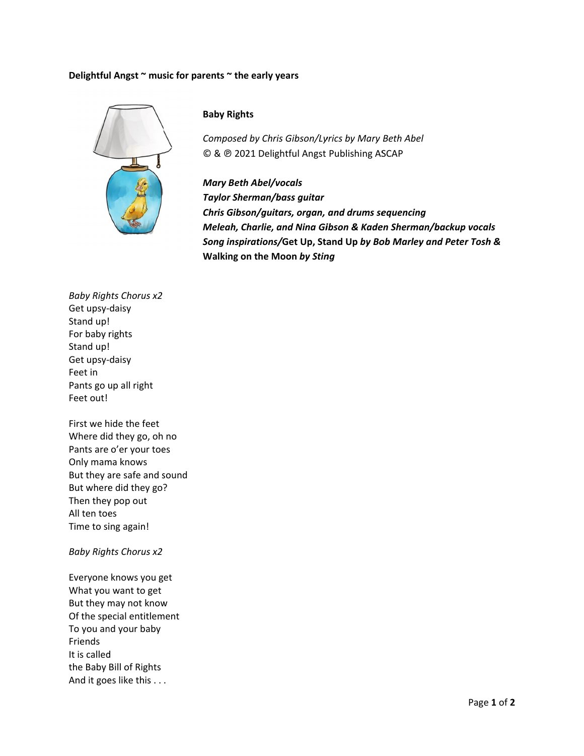## Delightful Angst ~ music for parents ~ the early years



## **Baby Rights**

Composed by Chris Gibson/Lyrics by Mary Beth Abel © & @ 2021 Delightful Angst Publishing ASCAP

**Mary Beth Abel/vocals Taylor Sherman/bass guitar** Chris Gibson/guitars, organ, and drums sequencing Meleah, Charlie, and Nina Gibson & Kaden Sherman/backup vocals Song inspirations/Get Up, Stand Up by Bob Marley and Peter Tosh & Walking on the Moon by Sting

**Baby Rights Chorus x2** Get upsy-daisy Stand up! For baby rights Stand up! Get upsy-daisy Feet in Pants go up all right Feet out!

First we hide the feet Where did they go, oh no Pants are o'er your toes Only mama knows But they are safe and sound But where did they go? Then they pop out All ten toes Time to sing again!

## **Baby Rights Chorus x2**

Everyone knows you get What you want to get But they may not know Of the special entitlement To you and your baby Friends It is called the Baby Bill of Rights And it goes like this . . .